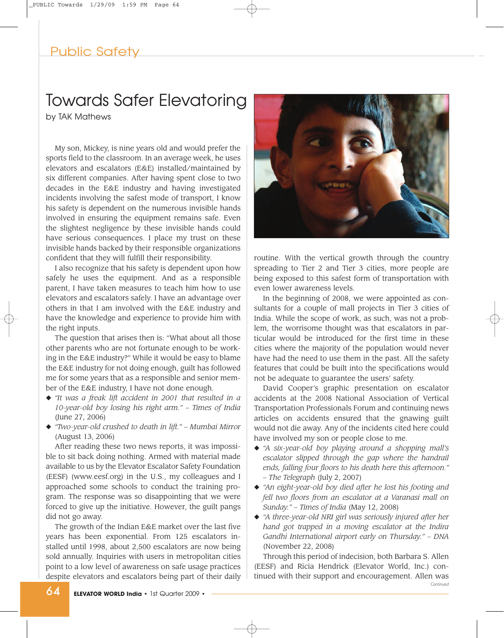# Public Safety

# Towards Safer Elevatoring

by TAK Mathews

My son, Mickey, is nine years old and would prefer the sports field to the classroom. In an average week, he uses elevators and escalators (E&E) installed/maintained by six different companies. After having spent close to two decades in the E&E industry and having investigated incidents involving the safest mode of transport, I know his safety is dependent on the numerous invisible hands involved in ensuring the equipment remains safe. Even the slightest negligence by these invisible hands could have serious consequences. I place my trust on these invisible hands backed by their responsible organizations confident that they will fulfill their responsibility.

I also recognize that his safety is dependent upon how safely he uses the equipment. And as a responsible parent, I have taken measures to teach him how to use elevators and escalators safely. I have an advantage over others in that I am involved with the E&E industry and have the knowledge and experience to provide him with the right inputs.

The question that arises then is: "What about all those other parents who are not fortunate enough to be working in the E&E industry?" While it would be easy to blame the E&E industry for not doing enough, guilt has followed me for some years that as a responsible and senior member of the E&E industry, I have not done enough.

- **◆** *"It was a freak lift accident in 2001 that resulted in a 10-year-old boy losing his right arm." – Times of India* (June 27, 2006)
- **◆** *"Two-year-old crushed to death in lift." Mumbai Mirror* (August 13, 2006)

After reading these two news reports, it was impossible to sit back doing nothing. Armed with material made available to us by the Elevator Escalator Safety Foundation (EESF) (www.eesf.org) in the U.S., my colleagues and I approached some schools to conduct the training program. The response was so disappointing that we were forced to give up the initiative. However, the guilt pangs did not go away.

The growth of the Indian E&E market over the last five years has been exponential. From 125 escalators installed until 1998, about 2,500 escalators are now being sold annually. Inquiries with users in metropolitan cities point to a low level of awareness on safe usage practices despite elevators and escalators being part of their daily



routine. With the vertical growth through the country spreading to Tier 2 and Tier 3 cities, more people are being exposed to this safest form of transportation with even lower awareness levels.

In the beginning of 2008, we were appointed as consultants for a couple of mall projects in Tier 3 cities of India. While the scope of work, as such, was not a problem, the worrisome thought was that escalators in particular would be introduced for the first time in these cities where the majority of the population would never have had the need to use them in the past. All the safety features that could be built into the specifications would not be adequate to guarantee the users' safety.

David Cooper's graphic presentation on escalator accidents at the 2008 National Association of Vertical Transportation Professionals Forum and continuing news articles on accidents ensured that the gnawing guilt would not die away. Any of the incidents cited here could have involved my son or people close to me.

- **◆** *"A six-year-old boy playing around a shopping mall's escalator slipped through the gap where the handrail ends, falling four floors to his death here this afternoon." – The Telegraph* (July 2, 2007)
- **◆** *"An eight-year-old boy died after he lost his footing and fell two floors from an escalator at a Varanasi mall on Sunday." – Times of India* (May 12, 2008)
- **◆** *"A three-year-old NRI girl was seriously injured after her hand got trapped in a moving escalator at the Indira Gandhi International airport early on Thursday." – DNA* (November 22, 2008)

Through this period of indecision, both Barbara S. Allen (EESF) and Ricia Hendrick (Elevator World, Inc.) continued with their support and encouragement. Allen was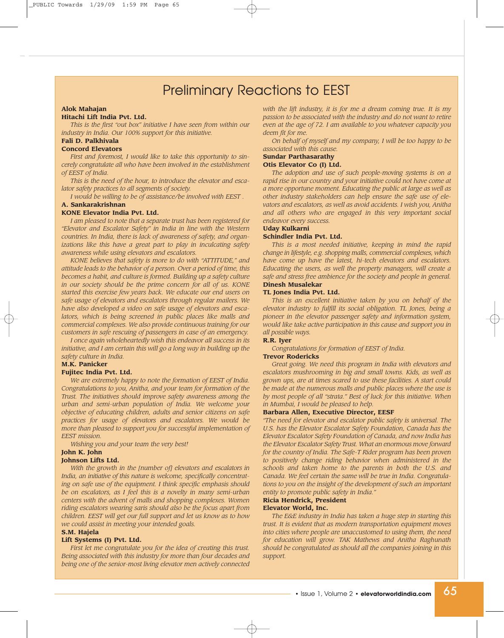# Preliminary Reactions to EEST

#### **Alok Mahajan**

# **Hitachi Lift India Pvt. Ltd.**

*This is the first "out box" initiative I have seen from within our industry in India. Our 100% support for this initiative.*

# **Fali D. Palkhivala**

#### **Concord Elevators**

*First and foremost, I would like to take this opportunity to sincerely congratulate all who have been involved in the establishment of EEST of India.*

*This is the need of the hour, to introduce the elevator and escalator safety practices to all segments of society.*

*I would be willing to be of assistance/be involved with EEST .*

## **A. Sankarakrishnan**

# **KONE Elevator India Pvt. Ltd.**

*I am pleased to note that a separate trust has been registered for "Elevator and Escalator Safety" in India in line with the Western countries. In India, there is lack of awareness of safety, and organizations like this have a great part to play in inculcating safety awareness while using elevators and escalators.* 

*KONE believes that safety is more to do with "ATTITUDE," and attitude leads to the behavior of a person. Over a period of time, this becomes a habit, and culture is formed. Building up a safety culture in our society should be the prime concern for all of us. KONE started this exercise few years back. We educate our end users on safe usage of elevators and escalators through regular mailers. We have also developed a video on safe usage of elevators and escalators, which is being screened in public places like malls and commercial complexes. We also provide continuous training for our customers in safe rescuing of passengers in case of an emergency.*

*I once again wholeheartedly wish this endeavor all success in its initiative, and I am certain this will go a long way in building up the safety culture in India.*

### **M.K. Panicker**

#### **Fujitec India Pvt. Ltd.**

*We are extremely happy to note the formation of EEST of India. Congratulations to you, Anitha, and your team for formation of the Trust. The initiatives should improve safety awareness among the urban and semi-urban population of India. We welcome your objective of educating children, adults and senior citizens on safe practices for usage of elevators and escalators. We would be more than pleased to support you for successful implementation of EEST mission.*

*Wishing you and your team the very best!* **John K. John**

# **Johnson Lifts Ltd.**

*With the growth in the [number of] elevators and escalators in India, an initiative of this nature is welcome, specifically concentrating on safe use of the equipment. I think specific emphasis should be on escalators, as I feel this is a novelty in many semi-urban centers with the advent of malls and shopping complexes. Women riding escalators wearing saris should also be the focus apart from children. EEST will get our full support and let us know as to how we could assist in meeting your intended goals.*

## **S.M. Hajela**

#### **Lift Systems (I) Pvt. Ltd.**

*First let me congratulate you for the idea of creating this trust. Being associated with this industry for more than four decades and being one of the senior-most living elevator men actively connected* *with the lift industry, it is for me a dream coming true. It is my passion to be associated with the industry and do not want to retire even at the age of 72. I am available to you whatever capacity you deem fit for me.* 

*On behalf of myself and my company, I will be too happy to be associated with this cause.* 

#### **Sundar Parthasarathy**

#### **Otis Elevator Co (I) Ltd.**

*The adoption and use of such people-moving systems is on a rapid rise in our country and your initiative could not have come at a more opportune moment. Educating the public at large as well as other industry stakeholders can help ensure the safe use of elevators and escalators, as well as avoid accidents. I wish you, Anitha and all others who are engaged in this very important social endeavor every success.*

#### **Uday Kulkarni**

#### **Schindler India Pvt. Ltd.**

*This is a most needed initiative, keeping in mind the rapid change in lifestyle, e.g. shopping malls, commercial complexes, which have come up have the latest, hi-tech elevators and escalators. Educating the users, as well the property managers, will create a safe and stress free ambience for the society and people in general.*  **Dinesh Musalekar**

#### **TL Jones India Pvt. Ltd.**

*This is an excellent initiative taken by you on behalf of the elevator industry to fulfill its social obligation. TL Jones, being a pioneer in the elevator passenger safety and information system, would like take active participation in this cause and support you in all possible ways.*

#### **R.R. Iyer**

*Congratulations for formation of EEST of India.* 

#### **Trevor Rodericks**

*Great going. We need this program in India with elevators and escalators mushrooming in big and small towns. Kids, as well as grown ups, are at times scared to use these facilities. A start could be made at the numerous malls and public places where the use is by most people of all "strata." Best of luck for this initiative. When in Mumbai, I would be pleased to help.*

## **Barbara Allen, Executive Director, EESF**

*"The need for elevator and escalator public safety is universal. The U.S. has the Elevator Escalator Safety Foundation, Canada has the Elevator Escalator Safety Foundation of Canada, and now India has the Elevator Escalator Safety Trust. What an enormous move forward for the country of India. The Safe-T Rider program has been proven to positively change riding behavior when administered in the schools and taken home to the parents in both the U.S. and Canada. We feel certain the same will be true in India. Congratulations to you on the insight of the development of such an important entity to promote public safety in India."*

#### **Ricia Hendrick, President Elevator World, Inc.**

*The E&E industry in India has taken a huge step in starting this trust. It is evident that as modern transportation equipment moves into cities where people are unaccustomed to using them, the need for education will grow. TAK Mathews and Anitha Raghunath should be congratulated as should all the companies joining in this support.*